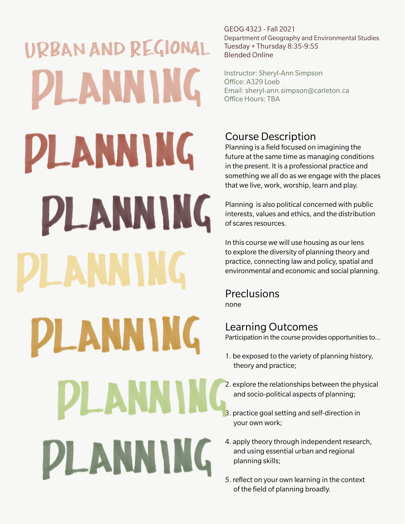# URBAN AND REGIONAL PLANNING PLANNING PLANNING PLANNING PLANNING PLANNING PLANNING

GEOG 4323 - Fall 2021 Department of Geography and Environmental Studies Tuesday + Thursday 8:35-9:55 Blended Online

Instructor: Sheryl-Ann Simpson Office: A329 Loeb Email: sheryl-ann.simpson@carleton.ca Office Hours: TBA

## Course Description

Planning is a field focused on imagining the future at the same time as managing conditions in the present. It is a professional practice and something we all do as we engage with the places that we live, work, worship, learn and play.

Planning is also political concerned with public interests, values and ethics, and the distribution of scares resources.

In this course we will use housing as our lens to explore the diversity of planning theory and practice, connecting law and policy, spatial and environmental and economic and social planning.

**Preclusions** none

Learning Outcomes Participation in the course provides opportunities to...

- 1. be exposed to the variety of planning history, theory and practice;
- 2. explore the relationships between the physical and socio-political aspects of planning;
- 3. practice goal setting and self-direction in your own work;
- 4. apply theory through independent research, and using essential urban and regional planning skills;
- 5. reflect on your own learning in the context of the field of planning broadly.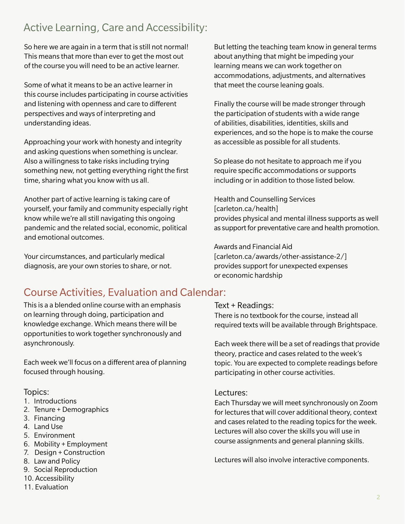## Active Learning, Care and Accessibility:

So here we are again in a term that is still not normal! This means that more than ever to get the most out of the course you will need to be an active learner.

Some of what it means to be an active learner in this course includes participating in course activities and listening with openness and care to different perspectives and ways of interpreting and understanding ideas.

Approaching your work with honesty and integrity and asking questions when something is unclear. Also a willingness to take risks including trying something new, not getting everything right the first time, sharing what you know with us all.

Another part of active learning is taking care of yourself, your family and community especially right know while we're all still navigating this ongoing pandemic and the related social, economic, political and emotional outcomes.

Your circumstances, and particularly medical diagnosis, are your own stories to share, or not.

# Course Activities, Evaluation and Calendar:

This is a a blended online course with an emphasis on learning through doing, participation and knowledge exchange. Which means there will be opportunities to work together synchronously and asynchronously.

Each week we'll focus on a different area of planning focused through housing.

#### Topics:

- 1. Introductions
- 2. Tenure + Demographics
- 3. Financing
- 4. Land Use
- 5. Environment
- 6. Mobility + Employment
- 7. Design + Construction
- 8. Law and Policy
- 9. Social Reproduction
- 10. Accessibility
- 11. Evaluation

But letting the teaching team know in general terms about anything that might be impeding your learning means we can work together on accommodations, adjustments, and alternatives that meet the course leaning goals.

Finally the course will be made stronger through the participation of students with a wide range of abilities, disabilities, identities, skills and experiences, and so the hope is to make the course as accessible as possible for all students.

So please do not hesitate to approach me if you require specific accommodations or supports including or in addition to those listed below.

Health and Counselling Services [carleton.ca/health] provides physical and mental illness supports as well as support for preventative care and health promotion.

Awards and Financial Aid [carleton.ca/awards/other-assistance-2/] provides support for unexpected expenses or economic hardship

#### Text + Readings:

There is no textbook for the course, instead all required texts will be available through Brightspace.

Each week there will be a set of readings that provide theory, practice and cases related to the week's topic. You are expected to complete readings before participating in other course activities.

#### Lectures:

Each Thursday we will meet synchronously on Zoom for lectures that will cover additional theory, context and cases related to the reading topics for the week. Lectures will also cover the skills you will use in course assignments and general planning skills.

Lectures will also involve interactive components.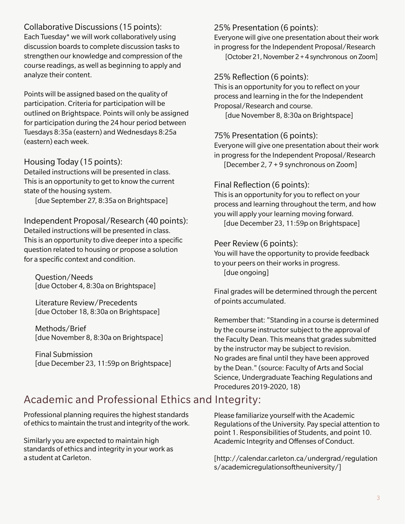#### Collaborative Discussions (15 points):

Each Tuesday\* we will work collaboratively using discussion boards to complete discussion tasks to strengthen our knowledge and compression of the course readings, as well as beginning to apply and analyze their content.

Points will be assigned based on the quality of participation. Criteria for participation will be outlined on Brightspace. Points will only be assigned for participation during the 24 hour period between Tuesdays 8:35a (eastern) and Wednesdays 8:25a (eastern) each week.

#### Housing Today (15 points):

Detailed instructions will be presented in class. This is an opportunity to get to know the current state of the housing system.

[due September 27, 8:35a on Brightspace]

#### Independent Proposal/Research (40 points):

Detailed instructions will be presented in class. This is an opportunity to dive deeper into a specific question related to housing or propose a solution for a specific context and condition.

 Question/Needs [due October 4, 8:30a on Brightspace]

 Literature Review/Precedents [due October 18, 8:30a on Brightspace]

 Methods/Brief [due November 8, 8:30a on Brightspace]

 Final Submission [due December 23, 11:59p on Brightspace]

#### 25% Presentation (6 points):

Everyone will give one presentation about their work in progress for the Independent Proposal/Research

[October 21, November 2 + 4 synchronous on Zoom]

#### 25% Reflection (6 points):

This is an opportunity for you to reflect on your process and learning in the for the Independent Proposal/Research and course.

[due November 8, 8:30a on Brightspace]

#### 75% Presentation (6 points):

Everyone will give one presentation about their work in progress for the Independent Proposal/Research [December 2, 7 + 9 synchronous on Zoom]

#### Final Reflection (6 points):

This is an opportunity for you to reflect on your process and learning throughout the term, and how you will apply your learning moving forward. [due December 23, 11:59p on Brightspace]

#### Peer Review (6 points):

You will have the opportunity to provide feedback to your peers on their works in progress. [due ongoing]

Final grades will be determined through the percent of points accumulated.

Remember that: "Standing in a course is determined by the course instructor subject to the approval of the Faculty Dean. This means that grades submitted by the instructor may be subject to revision. No grades are final until they have been approved by the Dean." (source: Faculty of Arts and Social Science, Undergraduate Teaching Regulations and Procedures 2019-2020, 18)

## Academic and Professional Ethics and Integrity:

Professional planning requires the highest standards of ethics to maintain the trust and integrity of the work.

Similarly you are expected to maintain high standards of ethics and integrity in your work as a student at Carleton.

Please familiarize yourself with the Academic Regulations of the University. Pay special attention to point 1. Responsibilities of Students, and point 10. Academic Integrity and Offenses of Conduct.

[http://calendar.carleton.ca/undergrad/regulation s/academicregulationsoftheuniversity/]